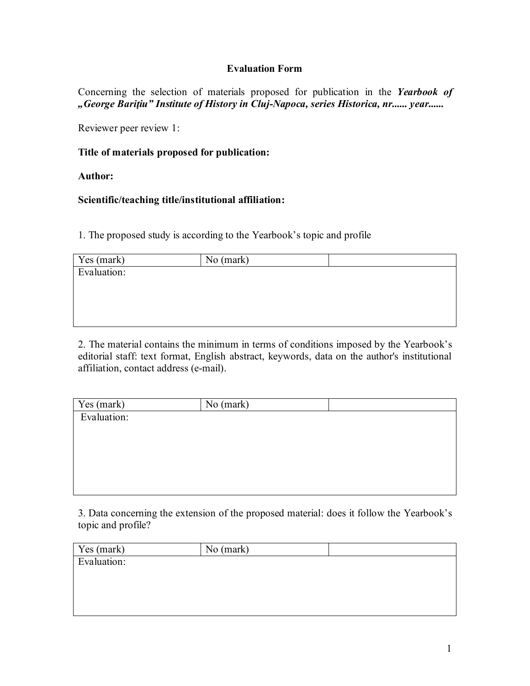## **Evaluation Form**

Concerning the selection of materials proposed for publication in the *Yearbook of "George Bariţiu" Institute of History in Cluj-Napoca, series Historica, nr...... year......*

Reviewer peer review 1:

## **Title of materials proposed for publication:**

**Author:**

## **Scientific/teaching title/institutional affiliation:**

1. The proposed study is according to the Yearbook's topic and profile

| Yes (mark)  | No (mark) |  |
|-------------|-----------|--|
| Evaluation: |           |  |
|             |           |  |
|             |           |  |
|             |           |  |

2. The material contains the minimum in terms of conditions imposed by the Yearbook's editorial staff: text format, English abstract, keywords, data on the author's institutional affiliation, contact address (e-mail).

| Yes (mark)  | No (mark) |  |
|-------------|-----------|--|
| Evaluation: |           |  |
|             |           |  |
|             |           |  |
|             |           |  |
|             |           |  |
|             |           |  |

3. Data concerning the extension of the proposed material: does it follow the Yearbook's topic and profile?

| Yes (mark)  | No (mark) |  |
|-------------|-----------|--|
| Evaluation: |           |  |
|             |           |  |
|             |           |  |
|             |           |  |
|             |           |  |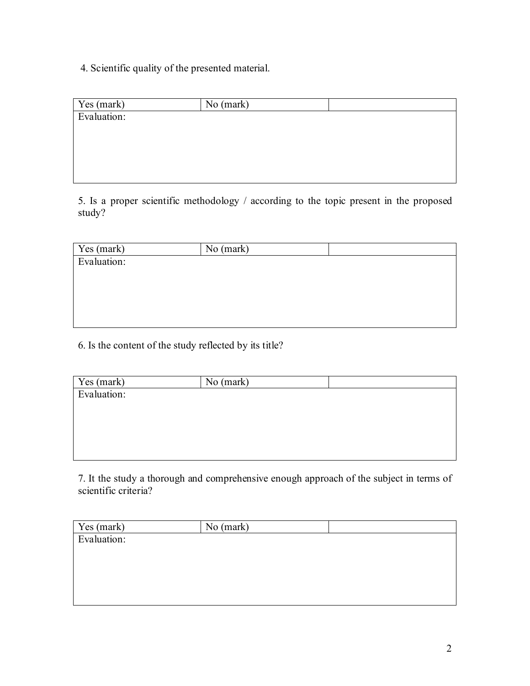4. Scientific quality of the presented material.

| Yes (mark)  | No (mark) |  |
|-------------|-----------|--|
| Evaluation: |           |  |
|             |           |  |
|             |           |  |
|             |           |  |
|             |           |  |

5. Is a proper scientific methodology / according to the topic present in the proposed study?

| Yes (mark)  | No (mark) |  |
|-------------|-----------|--|
| Evaluation: |           |  |
|             |           |  |
|             |           |  |
|             |           |  |
|             |           |  |
|             |           |  |

6. Is the content of the study reflected by its title?

| Yes (mark)  | No (mark) |  |
|-------------|-----------|--|
| Evaluation: |           |  |
|             |           |  |
|             |           |  |
|             |           |  |
|             |           |  |
|             |           |  |

7. It the study a thorough and comprehensive enough approach of the subject in terms of scientific criteria?

| Yes (mark)  | No (mark) |  |
|-------------|-----------|--|
| Evaluation: |           |  |
|             |           |  |
|             |           |  |
|             |           |  |
|             |           |  |